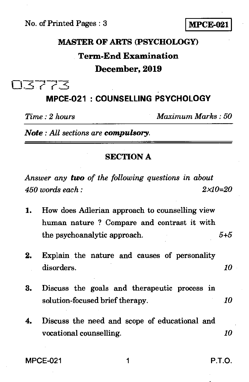# **MASTER OF ARTS (PSYCHOLOGY) Term-End Examination**

#### **December, 2019**

03773

## **MPCE-021 : COUNSELLING PSYCHOLOGY**

*Time : 2 hours Maximum Marks : 50* 

*Note : All sections are compulsory.* 

#### **SECTION A**

*Answer any two of the following questions in about 450 words each : 2x10=20* 

1. How does Adlerian approach to counselling view human nature ? Compare and contrast it with the psychoanalytic approach. *5+5* 

| 2. | Explain the nature and causes of personality |  |  |  |
|----|----------------------------------------------|--|--|--|
|    | disorders.                                   |  |  |  |

|                                 |  | 3. Discuss the goals and the rapeutic process in |  |      |
|---------------------------------|--|--------------------------------------------------|--|------|
| solution-focused brief therapy. |  |                                                  |  | -10- |

4. Discuss the need and scope of educational and vocational counselling. *10* 

MPCE-021 1 P.T.O.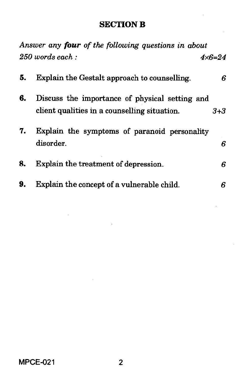## **SECTION B**

|    | Answer any four of the following questions in about                                            |         |
|----|------------------------------------------------------------------------------------------------|---------|
|    | $250$ words each:                                                                              | 4x6=24  |
| 5. | Explain the Gestalt approach to counselling.                                                   | 6       |
| 6. | Discuss the importance of physical setting and<br>client qualities in a counselling situation. | $3 + 3$ |
| 7. | Explain the symptoms of paranoid personality<br>disorder.                                      | 6       |
| 8. | Explain the treatment of depression.                                                           | 6       |
| 9. | Explain the concept of a vulnerable child.                                                     | 6       |